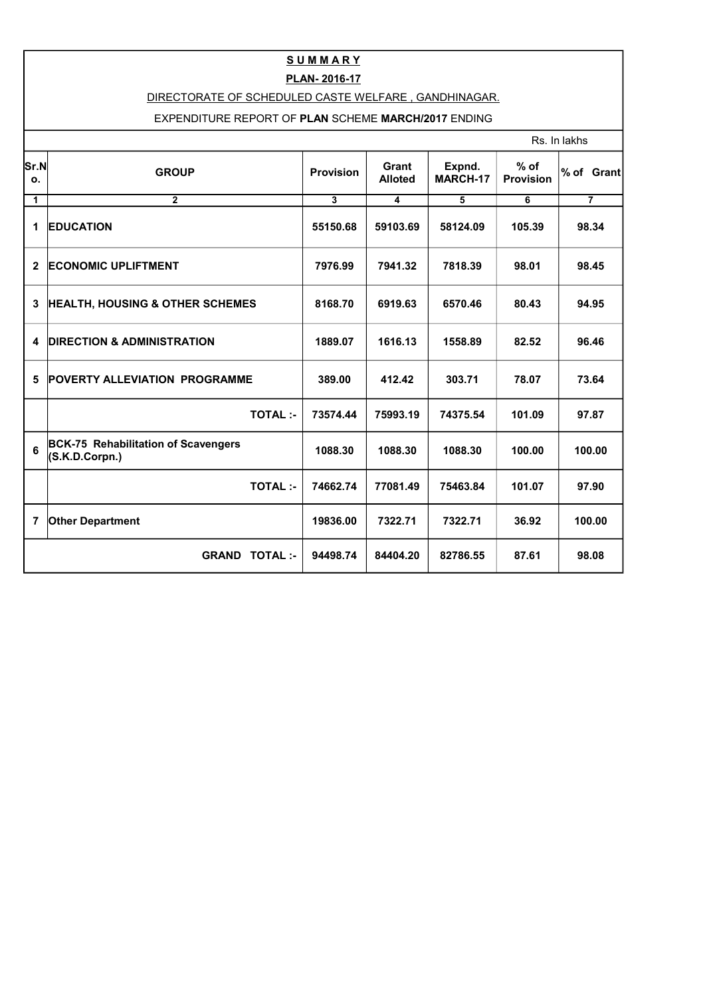## **S U M M A R Y**

## **PLAN- 2016-17**

## DIRECTORATE OF SCHEDULED CASTE WELFARE , GANDHINAGAR.

## EXPENDITURE REPORT OF **PLAN** SCHEME **MARCH/2017** ENDING

|              | Rs. In lakhs                                                 |                         |                         |                           |                            |                |
|--------------|--------------------------------------------------------------|-------------------------|-------------------------|---------------------------|----------------------------|----------------|
| Sr.N <br>o.  | <b>GROUP</b>                                                 | <b>Provision</b>        | Grant<br><b>Alloted</b> | Expnd.<br><b>MARCH-17</b> | $%$ of<br><b>Provision</b> | % of Grant     |
| 1            | $\mathbf{2}$                                                 | $\overline{\mathbf{3}}$ | 4                       | 5                         | 6                          | $\overline{7}$ |
| 1            | <b>EDUCATION</b>                                             | 55150.68                | 59103.69                | 58124.09                  | 105.39                     | 98.34          |
| $\mathbf{2}$ | <b>ECONOMIC UPLIFTMENT</b>                                   | 7976.99                 | 7941.32                 | 7818.39                   | 98.01                      | 98.45          |
| 3            | <b>HEALTH, HOUSING &amp; OTHER SCHEMES</b>                   | 8168.70                 | 6919.63                 | 6570.46                   | 80.43                      | 94.95          |
| 4            | <b>DIRECTION &amp; ADMINISTRATION</b>                        | 1889.07                 | 1616.13                 | 1558.89                   | 82.52                      | 96.46          |
| 5            | <b>POVERTY ALLEVIATION PROGRAMME</b>                         | 389.00                  | 412.42                  | 303.71                    | 78.07                      | 73.64          |
|              | <b>TOTAL:-</b>                                               | 73574.44                | 75993.19                | 74375.54                  | 101.09                     | 97.87          |
| 6            | <b>BCK-75 Rehabilitation of Scavengers</b><br>(S.K.D.Corpn.) | 1088.30                 | 1088.30                 | 1088.30                   | 100.00                     | 100.00         |
|              | <b>TOTAL:-</b>                                               | 74662.74                | 77081.49                | 75463.84                  | 101.07                     | 97.90          |
| 7            | <b>Other Department</b>                                      | 19836.00                | 7322.71                 | 7322.71                   | 36.92                      | 100.00         |
|              | <b>GRAND TOTAL:-</b>                                         | 94498.74                | 84404.20                | 82786.55                  | 87.61                      | 98.08          |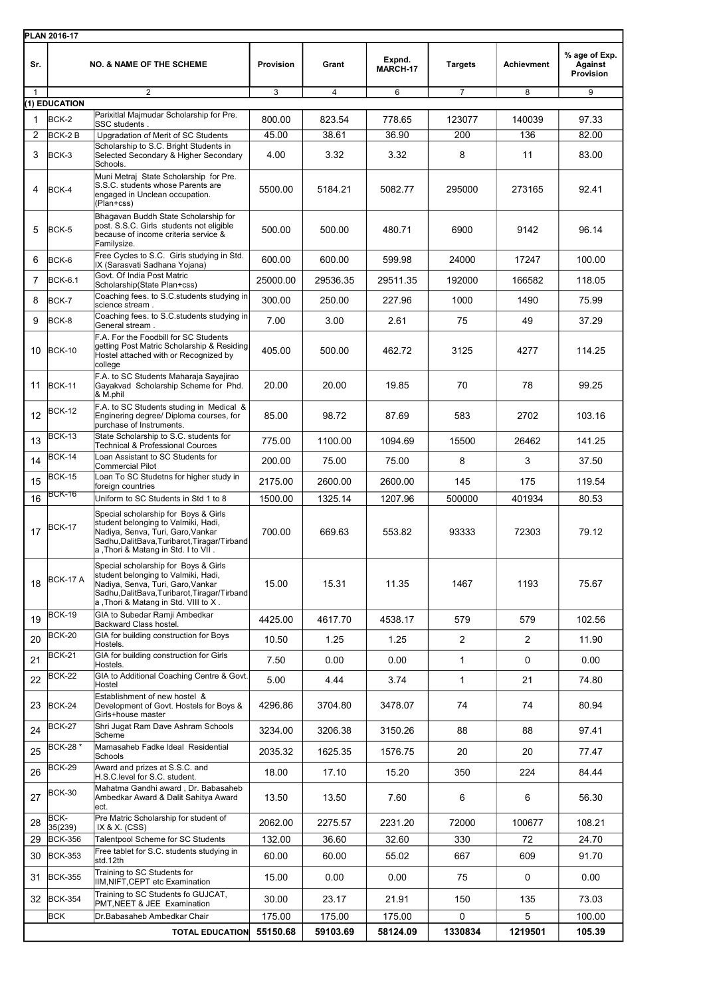|                | PLAN 2016-17                     |                                                                                                                                                                                                          |                    |                    |                    |                |                   |                                       |
|----------------|----------------------------------|----------------------------------------------------------------------------------------------------------------------------------------------------------------------------------------------------------|--------------------|--------------------|--------------------|----------------|-------------------|---------------------------------------|
| Sr.            |                                  | <b>NO. &amp; NAME OF THE SCHEME</b>                                                                                                                                                                      | <b>Provision</b>   | Grant              | Expnd.<br>MARCH-17 | <b>Targets</b> | <b>Achievment</b> | % age of Exp.<br>Against<br>Provision |
| 1              | (1) EDUCATION                    | 2                                                                                                                                                                                                        | 3                  | $\overline{4}$     | 6                  | $\overline{7}$ | $\overline{8}$    | 9                                     |
| 1              | BCK-2                            | Parixitlal Majmudar Scholarship for Pre.                                                                                                                                                                 | 800.00             | 823.54             | 778.65             | 123077         | 140039            | 97.33                                 |
| $\overline{2}$ | BCK-2B                           | SSC students.<br>Upgradation of Merit of SC Students                                                                                                                                                     | 45.00              | 38.61              | 36.90              | 200            | 136               | 82.00                                 |
| 3              | BCK-3                            | Scholarship to S.C. Bright Students in<br>Selected Secondary & Higher Secondary<br>Schools.                                                                                                              | 4.00               | 3.32               | 3.32               | 8              | 11                | 83.00                                 |
| 4              | BCK-4                            | Muni Metraj State Scholarship for Pre.<br>S.S.C. students whose Parents are<br>engaged in Unclean occupation.<br>(Plan+css)                                                                              | 5500.00            | 5184.21            | 5082.77            | 295000         | 273165            | 92.41                                 |
| 5              | BCK-5                            | Bhagavan Buddh State Scholarship for<br>post. S.S.C. Girls students not eligible<br>because of income criteria service &<br>Familysize.                                                                  | 500.00             | 500.00             | 480.71             | 6900           | 9142              | 96.14                                 |
| 6              | BCK-6                            | Free Cycles to S.C. Girls studying in Std.<br>IX (Sarasvati Sadhana Yojana)                                                                                                                              | 600.00             | 600.00             | 599.98             | 24000          | 17247             | 100.00                                |
| $\overline{7}$ | <b>BCK-6.1</b>                   | Govt. Of India Post Matric<br>Scholarship(State Plan+css)                                                                                                                                                | 25000.00           | 29536.35           | 29511.35           | 192000         | 166582            | 118.05                                |
| 8              | BCK-7                            | Coaching fees. to S.C. students studying in<br>science stream.                                                                                                                                           | 300.00             | 250.00             | 227.96             | 1000           | 1490              | 75.99                                 |
| 9              | BCK-8                            | Coaching fees. to S.C. students studying in                                                                                                                                                              | 7.00               | 3.00               | 2.61               | 75             | 49                | 37.29                                 |
| 10             | <b>BCK-10</b>                    | General stream.<br>F.A. For the Foodbill for SC Students<br>getting Post Matric Scholarship & Residing<br>Hostel attached with or Recognized by<br>college                                               | 405.00             | 500.00             | 462.72             | 3125           | 4277              | 114.25                                |
| 11             | BCK-11                           | F.A. to SC Students Maharaja Sayajirao<br>Gayakvad Scholarship Scheme for Phd.<br>& M.phil                                                                                                               | 20.00              | 20.00              | 19.85              | 70             | 78                | 99.25                                 |
| 12             | <b>BCK-12</b>                    | F.A. to SC Students studing in Medical &<br>Enginering degree/ Diploma courses, for<br>purchase of Instruments.                                                                                          | 85.00              | 98.72              | 87.69              | 583            | 2702              | 103.16                                |
| 13             | <b>BCK-13</b>                    | State Scholarship to S.C. students for<br><b>Technical &amp; Professional Cources</b>                                                                                                                    | 775.00             | 1100.00            | 1094.69            | 15500          | 26462             | 141.25                                |
| 14             | <b>BCK-14</b>                    | Loan Assistant to SC Students for<br><b>Commercial Pilot</b>                                                                                                                                             | 200.00             | 75.00              | 75.00              | 8              | 3                 | 37.50                                 |
| 15             | <b>BCK-15</b>                    | Loan To SC Studetns for higher study in                                                                                                                                                                  | 2175.00            | 2600.00            | 2600.00            | 145            | 175               | 119.54                                |
| 16             | BCK-16                           | foreign countries<br>Uniform to SC Students in Std 1 to 8                                                                                                                                                | 1500.00            | 1325.14            | 1207.96            | 500000         | 401934            | 80.53                                 |
| 17             | BCK-17                           | Special scholarship for Boys & Girls<br>student belonging to Valmiki, Hadi,<br>Nadiya, Senva, Turi, Garo, Vankar<br>Sadhu, DalitBava, Turibarot, Tiragar/Tirband<br>a, Thori & Matang in Std. I to VII.  | 700.00             | 669.63             | 553.82             | 93333          | 72303             | 79.12                                 |
| 18             | <b>BCK-17 A</b>                  | Special scholarship for Boys & Girls<br>student belonging to Valmiki, Hadi,<br>Nadiya, Senva, Turi, Garo, Vankar<br>Sadhu, DalitBava, Turibarot, Tiragar/Tirband<br>a, Thori & Matang in Std. VIII to X. | 15.00              | 15.31              | 11.35              | 1467           | 1193              | 75.67                                 |
| 19             | <b>BCK-19</b>                    | GIA to Subedar Ramji Ambedkar<br>Backward Class hostel.                                                                                                                                                  | 4425.00            | 4617.70            | 4538.17            | 579            | 579               | 102.56                                |
| 20             | <b>BCK-20</b>                    | GIA for building construction for Boys<br>Hostels.                                                                                                                                                       | 10.50              | 1.25               | 1.25               | $\mathbf{2}$   | 2                 | 11.90                                 |
| 21             | <b>BCK-21</b>                    | GIA for building construction for Girls<br>Hostels.                                                                                                                                                      | 7.50               | 0.00               | 0.00               | 1              | 0                 | 0.00                                  |
| 22             | <b>BCK-22</b>                    | GIA to Additional Coaching Centre & Govt.<br>Hostel                                                                                                                                                      | 5.00               | 4.44               | 3.74               | $\mathbf{1}$   | 21                | 74.80                                 |
| 23             | $BCK-24$                         | Establishment of new hostel &<br>Development of Govt. Hostels for Boys &<br>Girls+house master                                                                                                           | 4296.86            | 3704.80            | 3478.07            | 74             | 74                | 80.94                                 |
| 24             | <b>BCK-27</b>                    | Shri Jugat Ram Dave Ashram Schools<br>Scheme                                                                                                                                                             | 3234.00            | 3206.38            | 3150.26            | 88             | 88                | 97.41                                 |
| 25             | BCK-28 *                         | Mamasaheb Fadke Ideal Residential                                                                                                                                                                        | 2035.32            | 1625.35            | 1576.75            | 20             | 20                | 77.47                                 |
| 26             | <b>BCK-29</b>                    | Schools<br>Award and prizes at S.S.C. and                                                                                                                                                                | 18.00              | 17.10              | 15.20              | 350            | 224               | 84.44                                 |
|                |                                  | H.S.C.level for S.C. student.<br>Mahatma Gandhi award, Dr. Babasaheb                                                                                                                                     |                    |                    |                    |                |                   |                                       |
| 27             | BCK-30<br>BCK-                   | Ambedkar Award & Dalit Sahitya Award<br>ect.<br>Pre Matric Scholarship for student of                                                                                                                    | 13.50              | 13.50              | 7.60               | 6              | 6                 | 56.30                                 |
| 28             | 35(239)                          | IX & X. $(CSS)$                                                                                                                                                                                          | 2062.00            | 2275.57            | 2231.20            | 72000          | 100677            | 108.21                                |
| 29<br>30       | <b>BCK-356</b><br><b>BCK-353</b> | Talentpool Scheme for SC Students<br>Free tablet for S.C. students studying in                                                                                                                           | 132.00<br>60.00    | 36.60<br>60.00     | 32.60<br>55.02     | 330<br>667     | 72<br>609         | 24.70<br>91.70                        |
|                |                                  | std.12th<br>Training to SC Students for                                                                                                                                                                  |                    |                    |                    |                |                   |                                       |
| 31             | <b>BCK-355</b>                   | IIM, NIFT, CEPT etc Examination<br>Training to SC Students fo GUJCAT,                                                                                                                                    | 15.00              | 0.00               | 0.00               | 75             | 0                 | 0.00                                  |
|                | 32 BCK-354                       | PMT, NEET & JEE Examination                                                                                                                                                                              | 30.00              | 23.17              | 21.91              | 150            | 135               | 73.03                                 |
|                | <b>BCK</b>                       | Dr.Babasaheb Ambedkar Chair<br><b>TOTAL EDUCATION</b>                                                                                                                                                    | 175.00<br>55150.68 | 175.00<br>59103.69 | 175.00<br>58124.09 | 0<br>1330834   | 5<br>1219501      | 100.00<br>105.39                      |
|                |                                  |                                                                                                                                                                                                          |                    |                    |                    |                |                   |                                       |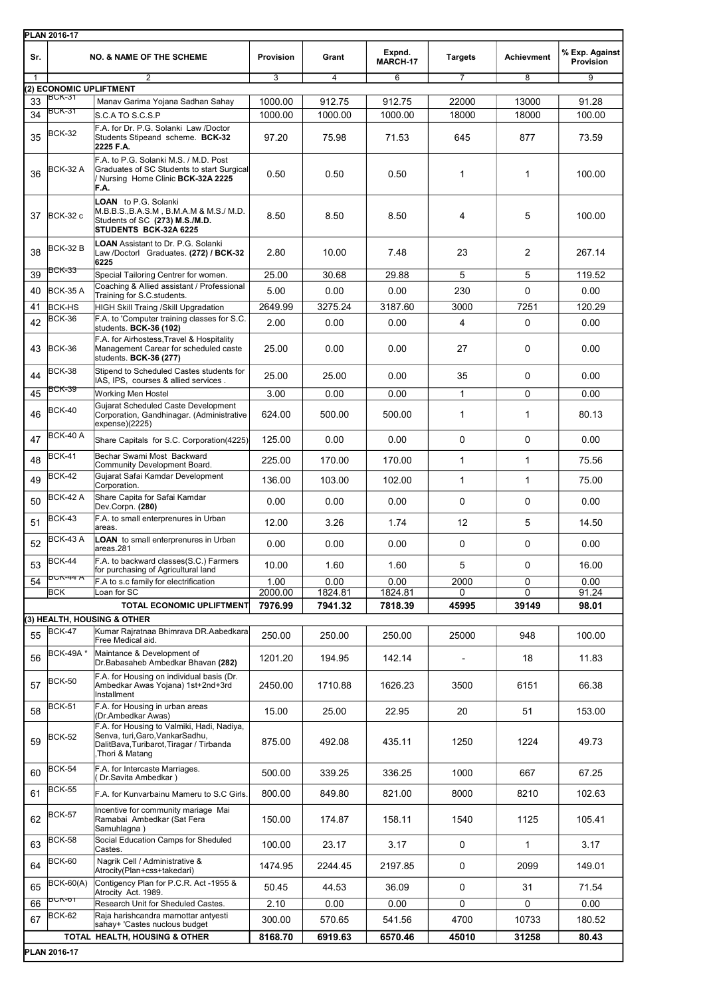|     | <b>PLAN 2016-17</b>                                                                                       |                                                                                                                                              |                  |                   |                    |                          |                   |                             |  |  |
|-----|-----------------------------------------------------------------------------------------------------------|----------------------------------------------------------------------------------------------------------------------------------------------|------------------|-------------------|--------------------|--------------------------|-------------------|-----------------------------|--|--|
| Sr. |                                                                                                           | <b>NO. &amp; NAME OF THE SCHEME</b>                                                                                                          | <b>Provision</b> | Grant             | Expnd.<br>MARCH-17 | <b>Targets</b>           | <b>Achievment</b> | % Exp. Against<br>Provision |  |  |
| 1   |                                                                                                           | $\overline{2}$                                                                                                                               | 3                | $\overline{4}$    | 6                  | 7                        | 8                 | $\overline{9}$              |  |  |
| 33  | 2) ECONOMIC UPLIFTMENT<br>BCK-31                                                                          |                                                                                                                                              |                  |                   |                    |                          |                   |                             |  |  |
| 34  | BCK-31                                                                                                    | Manav Garima Yojana Sadhan Sahay                                                                                                             | 1000.00          | 912.75<br>1000.00 | 912.75             | 22000                    | 13000             | 91.28<br>100.00             |  |  |
|     |                                                                                                           | S.C.A TO S.C.S.P<br>F.A. for Dr. P.G. Solanki Law /Doctor                                                                                    | 1000.00          |                   | 1000.00            | 18000                    | 18000             |                             |  |  |
| 35  | <b>BCK-32</b>                                                                                             | Students Stipeand scheme. BCK-32<br>2225 F.A.                                                                                                | 97.20            | 75.98             | 71.53              | 645                      | 877               | 73.59                       |  |  |
| 36  | BCK-32 A                                                                                                  | F.A. to P.G. Solanki M.S. / M.D. Post<br>Graduates of SC Students to start Surgical<br>Nursing Home Clinic BCK-32A 2225<br>F.A.              | 0.50             | 0.50              | 0.50               | 1                        | 1                 | 100.00                      |  |  |
| 37  | <b>BCK-32 c</b>                                                                                           | <b>LOAN</b> to P.G. Solanki<br>M.B.B.S.,B.A.S.M, B.M.A.M & M.S./ M.D.<br>Students of SC (273) M.S./M.D.<br><b>STUDENTS BCK-32A 6225</b>      | 8.50             | 8.50              | 8.50               | 4                        | 5                 | 100.00                      |  |  |
| 38  | <b>BCK-32 B</b>                                                                                           | <b>LOAN</b> Assistant to Dr. P.G. Solanki<br>Law /Doctorl Graduates. (272) / BCK-32<br>6225                                                  | 2.80             | 10.00             | 7.48               | 23                       | $\overline{2}$    | 267.14                      |  |  |
| 39  | BCK-33                                                                                                    | Special Tailoring Centrer for women.                                                                                                         | 25.00            | 30.68             | 29.88              | 5                        | 5                 | 119.52                      |  |  |
| 40  | <b>BCK-35 A</b>                                                                                           | Coaching & Allied assistant / Professional                                                                                                   | 5.00             | 0.00              | 0.00               | 230                      | 0                 | 0.00                        |  |  |
| 41  | <b>BCK-HS</b>                                                                                             | Training for S.C.students.<br><b>HIGH Skill Traing /Skill Upgradation</b>                                                                    | 2649.99          | 3275.24           | 3187.60            | 3000                     | 7251              | 120.29                      |  |  |
|     | <b>BCK-36</b>                                                                                             | F.A. to 'Computer training classes for S.C.                                                                                                  |                  |                   |                    |                          |                   |                             |  |  |
| 42  |                                                                                                           | students. BCK-36 (102)                                                                                                                       | 2.00             | 0.00              | 0.00               | 4                        | 0                 | 0.00                        |  |  |
| 43  | <b>BCK-36</b>                                                                                             | F.A. for Airhostess, Travel & Hospitality<br>Management Carear for scheduled caste<br>students. BCK-36 (277)                                 | 25.00            | 0.00              | 0.00               | 27                       | 0                 | 0.00                        |  |  |
| 44  | <b>BCK-38</b>                                                                                             | Stipend to Scheduled Castes students for<br>IAS, IPS, courses & allied services.                                                             | 25.00            | 25.00             | 0.00               | 35                       | $\Omega$          | 0.00                        |  |  |
| 45  | <b>BCK-39</b>                                                                                             | <b>Working Men Hostel</b>                                                                                                                    | 3.00             | 0.00              | 0.00               | 1                        | 0                 | 0.00                        |  |  |
| 46  | BCK-40                                                                                                    | Gujarat Scheduled Caste Development<br>Corporation, Gandhinagar. (Administrative<br>expense)(2225)                                           | 624.00           | 500.00            | 500.00             | 1                        | $\mathbf{1}$      | 80.13                       |  |  |
| 47  | BCK-40 A                                                                                                  | Share Capitals for S.C. Corporation(4225)                                                                                                    | 125.00           | 0.00              | 0.00               | 0                        | 0                 | 0.00                        |  |  |
| 48  | <b>BCK-41</b>                                                                                             | Bechar Swami Most Backward<br>Community Development Board.                                                                                   | 225.00           | 170.00            | 170.00             | $\mathbf{1}$             | $\mathbf{1}$      | 75.56                       |  |  |
| 49  | <b>BCK-42</b>                                                                                             | Gujarat Safai Kamdar Development                                                                                                             | 136.00           | 103.00            | 102.00             | $\mathbf{1}$             | $\mathbf{1}$      | 75.00                       |  |  |
|     | BCK-42 A                                                                                                  | Corporation.                                                                                                                                 |                  |                   |                    |                          |                   |                             |  |  |
| 50  | <b>BCK-43</b>                                                                                             | Share Capita for Safai Kamdar<br>Dev.Corpn. (280)<br>F.A. to small enterprenures in Urban                                                    | 0.00             | 0.00              | 0.00               | 0                        | 0                 | 0.00                        |  |  |
| 51  |                                                                                                           | areas.                                                                                                                                       | 12.00            | 3.26              | 1.74               | 12                       | 5                 | 14.50                       |  |  |
| 52  | BCK-43 A                                                                                                  | <b>LOAN</b> to small enterprenures in Urban<br>areas.281                                                                                     | 0.00             | 0.00              | 0.00               | 0                        | 0                 | 0.00                        |  |  |
| 53  | BCK-44                                                                                                    | F.A. to backward classes(S.C.) Farmers<br>for purchasing of Agricultural land                                                                | 10.00            | 1.60              | 1.60               | 5                        | 0                 | 16.00                       |  |  |
| 54  | <b>BUN-44 A</b>                                                                                           | F.A to s.c family for electrification                                                                                                        | 1.00             | 0.00              | 0.00               | 2000                     | 0                 | 0.00                        |  |  |
|     | <b>BCK</b>                                                                                                | Loan for SC                                                                                                                                  | 2000.00          | 1824.81           | 1824.81            | 0                        | 0                 | 91.24                       |  |  |
|     |                                                                                                           | TOTAL ECONOMIC UPLIFTMENT                                                                                                                    | 7976.99          | 7941.32           | 7818.39            | 45995                    | 39149             | 98.01                       |  |  |
|     |                                                                                                           | (3) HEALTH, HOUSING & OTHER                                                                                                                  |                  |                   |                    |                          |                   |                             |  |  |
| 55  | <b>BCK-47</b>                                                                                             | Kumar Rajratnaa Bhimrava DR.Aabedkara<br>Free Medical aid.                                                                                   | 250.00           | 250.00            | 250.00             | 25000                    | 948               | 100.00                      |  |  |
| 56  | BCK-49A*                                                                                                  | Maintance & Development of<br>Dr.Babasaheb Ambedkar Bhavan (282)                                                                             | 1201.20          | 194.95            | 142.14             | $\overline{\phantom{a}}$ | 18                | 11.83                       |  |  |
| 57  | <b>BCK-50</b>                                                                                             | F.A. for Housing on individual basis (Dr.<br>Ambedkar Awas Yojana) 1st+2nd+3rd<br>Installment                                                | 2450.00          | 1710.88           | 1626.23            | 3500                     | 6151              | 66.38                       |  |  |
| 58  | <b>BCK-51</b>                                                                                             | F.A. for Housing in urban areas<br>(Dr.Ambedkar Awas)                                                                                        | 15.00            | 25.00             | 22.95              | 20                       | 51                | 153.00                      |  |  |
| 59  | BCK-52                                                                                                    | F.A. for Housing to Valmiki, Hadi, Nadiya,<br>Senva, turi, Garo, Vankar Sadhu,<br>DalitBava, Turibarot, Tiragar / Tirbanda<br>Thori & Matang | 875.00           | 492.08            | 435.11             | 1250                     | 1224              | 49.73                       |  |  |
| 60  | <b>BCK-54</b>                                                                                             | F.A. for Intercaste Marriages.<br>Dr.Savita Ambedkar)                                                                                        | 500.00           | 339.25            | 336.25             | 1000                     | 667               | 67.25                       |  |  |
| 61  | BCK-55                                                                                                    | F.A. for Kunvarbainu Mameru to S.C Girls.                                                                                                    | 800.00           | 849.80            | 821.00             | 8000                     | 8210              | 102.63                      |  |  |
| 62  | BCK-57                                                                                                    | Incentive for community mariage Mai<br>Ramabai Ambedkar (Sat Fera<br>Samuhlagna)                                                             | 150.00           | 174.87            | 158.11             | 1540                     | 1125              | 105.41                      |  |  |
| 63  | <b>BCK-58</b>                                                                                             | Social Education Camps for Sheduled<br>Castes.                                                                                               | 100.00           | 23.17             | 3.17               | 0                        | $\mathbf{1}$      | 3.17                        |  |  |
| 64  | BCK-60                                                                                                    | Nagrik Cell / Administrative &<br>Atrocity(Plan+css+takedari)                                                                                | 1474.95          | 2244.45           | 2197.85            | 0                        | 2099              | 149.01                      |  |  |
| 65  | <b>BCK-60(A)</b>                                                                                          | Contigency Plan for P.C.R. Act -1955 &<br>Atrocity Act. 1989.                                                                                | 50.45            | 44.53             | 36.09              | 0                        | 31                | 71.54                       |  |  |
| 66  | 50N-01                                                                                                    | Research Unit for Sheduled Castes.                                                                                                           | 2.10             | 0.00              | 0.00               | 0                        | 0                 | 0.00                        |  |  |
| 67  | BCK-62                                                                                                    | Raja harishcandra marnottar antyesti                                                                                                         | 300.00           | 570.65            | 541.56             | 4700                     | 10733             | 180.52                      |  |  |
|     |                                                                                                           | sahay+ 'Castes nuclous budget                                                                                                                |                  |                   |                    |                          |                   |                             |  |  |
|     | 8168.70<br>6919.63<br>6570.46<br>45010<br>31258<br>80.43<br>TOTAL HEALTH, HOUSING & OTHER<br>PLAN 2016-17 |                                                                                                                                              |                  |                   |                    |                          |                   |                             |  |  |